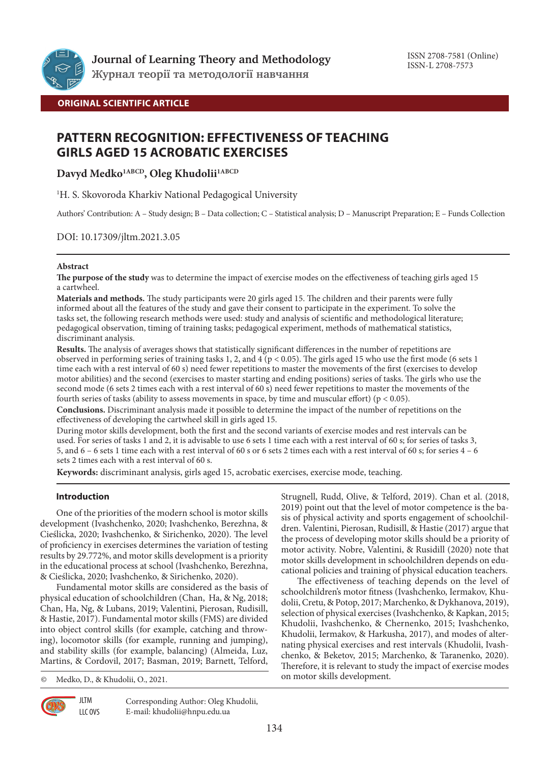

**Журнал теорії та методології навчання**

**ORIGINAL SCIENTIFIC ARTICLE**

# **PATTERN RECOGNITION: EFFECTIVENESS OF TEACHING GIRLS AGED 15 ACROBATIC EXERCISES**

Davyd Medko<sup>1ABCD</sup>, Oleg Khudolii<sup>1ABCD</sup>

1 H. S. Skovoroda Kharkiv National Pedagogical University

Authors' Contribution: A – Study design; B – Data collection; C – Statistical analysis; D – Manuscript Preparation; E – Funds Collection

## DOI: 10.17309/jltm.2021.3.05

## **Abstract**

**The purpose of the study** was to determine the impact of exercise modes on the effectiveness of teaching girls aged 15 a cartwheel.

**Materials and methods.** The study participants were 20 girls aged 15. The children and their parents were fully informed about all the features of the study and gave their consent to participate in the experiment. To solve the tasks set, the following research methods were used: study and analysis of scientific and methodological literature; pedagogical observation, timing of training tasks; pedagogical experiment, methods of mathematical statistics, discriminant analysis.

**Results.** The analysis of averages shows that statistically significant differences in the number of repetitions are observed in performing series of training tasks 1, 2, and  $4$  (p < 0.05). The girls aged 15 who use the first mode (6 sets 1 time each with a rest interval of 60 s) need fewer repetitions to master the movements of the first (exercises to develop motor abilities) and the second (exercises to master starting and ending positions) series of tasks. The girls who use the second mode (6 sets 2 times each with a rest interval of 60 s) need fewer repetitions to master the movements of the fourth series of tasks (ability to assess movements in space, by time and muscular effort) (p < 0.05).

**Conclusions.** Discriminant analysis made it possible to determine the impact of the number of repetitions on the effectiveness of developing the cartwheel skill in girls aged 15.

During motor skills development, both the first and the second variants of exercise modes and rest intervals can be used. For series of tasks 1 and 2, it is advisable to use 6 sets 1 time each with a rest interval of 60 s; for series of tasks 3, 5, and 6 – 6 sets 1 time each with a rest interval of 60 s or 6 sets 2 times each with a rest interval of 60 s; for series 4 – 6 sets 2 times each with a rest interval of 60 s.

**Keywords:** discriminant analysis, girls aged 15, acrobatic exercises, exercise mode, teaching.

## **Introduction**

One of the priorities of the modern school is motor skills development (Ivashchenko, 2020; Ivashchenko, Berezhna, & Cieślicka, 2020; Ivashchenko, & Sirichenko, 2020). The level of proficiency in exercises determines the variation of testing results by 29.772%, and motor skills development is a priority in the educational process at school (Ivashchenko, Berezhna, & Cieślicka, 2020; Ivashchenko, & Sirichenko, 2020).

Fundamental motor skills are considered as the basis of physical education of schoolchildren (Chan, Ha, & Ng, 2018; Chan, Ha, Ng, & Lubans, 2019; Valentini, Pierosan, Rudisill, & Hastie, 2017). Fundamental motor skills (FMS) are divided into object control skills (for example, catching and throwing), locomotor skills (for example, running and jumping), and stability skills (for example, balancing) (Almeida, Luz, Martins, & Cordovil, 2017; Basman, 2019; Barnett, Telford,

© Medko, D., & Khudolii, O., 2021.

**JLTM** LLC OVS Strugnell, Rudd, Olive, & Telford, 2019). Chan et al. (2018, 2019) point out that the level of motor competence is the basis of physical activity and sports engagement of schoolchildren. Valentini, Pierosan, Rudisill, & Hastie (2017) argue that the process of developing motor skills should be a priority of motor activity. Nobre, Valentini, & Rusidill (2020) note that motor skills development in schoolchildren depends on educational policies and training of physical education teachers.

The effectiveness of teaching depends on the level of schoolchildren's motor fitness (Ivashchenko, Iermakov, Khudolii, Cretu, & Potop, 2017; Marchenko, & Dykhanova, 2019), selection of physical exercises (Ivashchenko, & Kapkan, 2015; Khudolii, Ivashchenko, & Chernenko, 2015; Ivashchenko, Khudolii, Iermakov, & Harkusha, 2017), and modes of alternating physical exercises and rest intervals (Khudolii, Ivashchenko, & Beketov, 2015; Marchenko, & Taranenko, 2020). Therefore, it is relevant to study the impact of exercise modes on motor skills development.



Corresponding Author: Oleg Khudolii, E-mail: khudolii@hnpu.edu.ua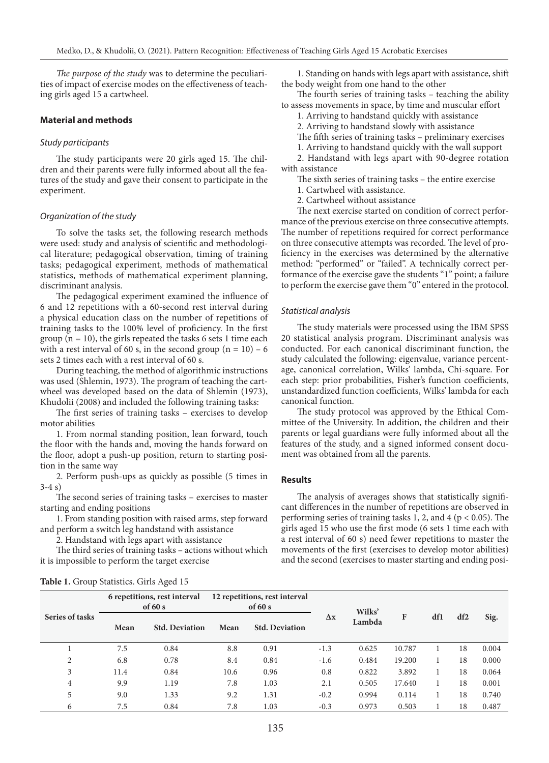*The purpose of the study* was to determine the peculiarities of impact of exercise modes on the effectiveness of teaching girls aged 15 a cartwheel.

## **Material and methods**

#### *Study participants*

The study participants were 20 girls aged 15. The children and their parents were fully informed about all the features of the study and gave their consent to participate in the experiment.

#### *Organization of the study*

To solve the tasks set, the following research methods were used: study and analysis of scientific and methodological literature; pedagogical observation, timing of training tasks; pedagogical experiment, methods of mathematical statistics, methods of mathematical experiment planning, discriminant analysis.

The pedagogical experiment examined the influence of 6 and 12 repetitions with a 60-second rest interval during a physical education class on the number of repetitions of training tasks to the 100% level of proficiency. In the first group  $(n = 10)$ , the girls repeated the tasks 6 sets 1 time each with a rest interval of 60 s, in the second group  $(n = 10) - 6$ sets 2 times each with a rest interval of 60 s.

During teaching, the method of algorithmic instructions was used (Shlemin, 1973). The program of teaching the cartwheel was developed based on the data of Shlemin (1973), Khudolii (2008) and included the following training tasks:

The first series of training tasks – exercises to develop motor abilities

1. From normal standing position, lean forward, touch the floor with the hands and, moving the hands forward on the floor, adopt a push-up position, return to starting position in the same way

2. Perform push-ups as quickly as possible (5 times in 3-4 s)

The second series of training tasks – exercises to master starting and ending positions

1. From standing position with raised arms, step forward and perform a switch leg handstand with assistance

2. Handstand with legs apart with assistance

The third series of training tasks – actions without which it is impossible to perform the target exercise

1. Standing on hands with legs apart with assistance, shift the body weight from one hand to the other

The fourth series of training tasks – teaching the ability to assess movements in space, by time and muscular effort

1. Arriving to handstand quickly with assistance

2. Arriving to handstand slowly with assistance

- The fifth series of training tasks preliminary exercises
- 1. Arriving to handstand quickly with the wall support

2. Handstand with legs apart with 90-degree rotation with assistance

The sixth series of training tasks – the entire exercise

- 1. Cartwheel with assistance.
- 2. Cartwheel without assistance

The next exercise started on condition of correct performance of the previous exercise on three consecutive attempts. The number of repetitions required for correct performance on three consecutive attempts was recorded. The level of proficiency in the exercises was determined by the alternative method: "performed" or "failed". A technically correct performance of the exercise gave the students "1" point; a failure to perform the exercise gave them "0" entered in the protocol.

#### *Statistical analysis*

The study materials were processed using the IBM SPSS 20 statistical analysis program. Discriminant analysis was conducted. For each canonical discriminant function, the study calculated the following: eigenvalue, variance percentage, canonical correlation, Wilks' lambda, Chi-square. For each step: prior probabilities, Fisher's function coefficients, unstandardized function coefficients, Wilks' lambda for each canonical function.

The study protocol was approved by the Ethical Committee of the University. In addition, the children and their parents or legal guardians were fully informed about all the features of the study, and a signed informed consent document was obtained from all the parents.

#### **Results**

The analysis of averages shows that statistically significant differences in the number of repetitions are observed in performing series of training tasks 1, 2, and 4 ( $p < 0.05$ ). The girls aged 15 who use the first mode (6 sets 1 time each with a rest interval of 60 s) need fewer repetitions to master the movements of the first (exercises to develop motor abilities) and the second (exercises to master starting and ending posi-

| Series of tasks | 6 repetitions, rest interval<br>of $60 s$ |                       | 12 repetitions, rest interval<br>of $60 s$ |                       |            | Wilks' |        |     |                 |       |
|-----------------|-------------------------------------------|-----------------------|--------------------------------------------|-----------------------|------------|--------|--------|-----|-----------------|-------|
|                 | Mean                                      | <b>Std. Deviation</b> | Mean                                       | <b>Std. Deviation</b> | $\Delta x$ | Lambda | F      | df1 | df <sub>2</sub> | Sig.  |
|                 | 7.5                                       | 0.84                  | 8.8                                        | 0.91                  | $-1.3$     | 0.625  | 10.787 |     | 18              | 0.004 |
| $\overline{2}$  | 6.8                                       | 0.78                  | 8.4                                        | 0.84                  | $-1.6$     | 0.484  | 19.200 |     | 18              | 0.000 |
| 3               | 11.4                                      | 0.84                  | 10.6                                       | 0.96                  | 0.8        | 0.822  | 3.892  |     | 18              | 0.064 |
| 4               | 9.9                                       | 1.19                  | 7.8                                        | 1.03                  | 2.1        | 0.505  | 17.640 |     | 18              | 0.001 |
| 5               | 9.0                                       | 1.33                  | 9.2                                        | 1.31                  | $-0.2$     | 0.994  | 0.114  |     | 18              | 0.740 |
| 6               | 7.5                                       | 0.84                  | 7.8                                        | 1.03                  | $-0.3$     | 0.973  | 0.503  |     | 18              | 0.487 |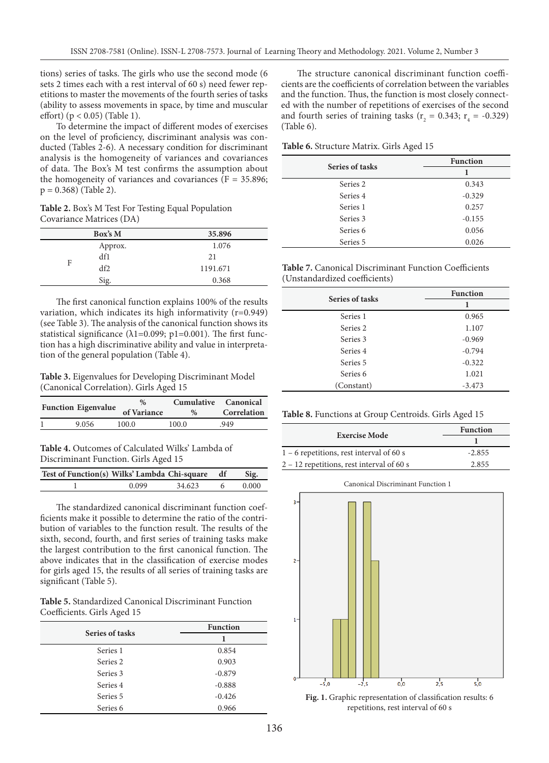tions) series of tasks. The girls who use the second mode (6 sets 2 times each with a rest interval of 60 s) need fewer repetitions to master the movements of the fourth series of tasks (ability to assess movements in space, by time and muscular effort) (p < 0.05) (Table 1).

To determine the impact of different modes of exercises on the level of proficiency, discriminant analysis was conducted (Tables 2-6). A necessary condition for discriminant analysis is the homogeneity of variances and covariances of data. The Box's M test confirms the assumption about the homogeneity of variances and covariances  $(F = 35.896;$  $p = 0.368$ ) (Table 2).

**Table 2.** Box's M Test For Testing Equal Population Covariance Matrices (DA)

|   | Box's M | 35.896   |
|---|---------|----------|
|   | Approx. | 1.076    |
| F | df1     | 21       |
|   | df2     | 1191.671 |
|   | Sig.    | 0.368    |

The first canonical function explains 100% of the results variation, which indicates its high informativity (r=0.949) (see Table 3). The analysis of the canonical function shows its statistical significance ( $\lambda$ 1=0.099; p1=0.001). The first function has a high discriminative ability and value in interpretation of the general population (Table 4).

**Table 3.** Eigenvalues for Developing Discriminant Model (Canonical Correlation). Girls Aged 15

| <b>Function Eigenvalue</b> | %<br>of Variance | $\%$  | Cumulative Canonical<br>Correlation |
|----------------------------|------------------|-------|-------------------------------------|
| 9.056                      | 100.0            | 100.0 | .949                                |

**Table 4.** Outcomes of Calculated Wilks' Lambda of Discriminant Function. Girls Aged 15

| Test of Function(s) Wilks' Lambda Chi-square df |       |        | Sig.  |
|-------------------------------------------------|-------|--------|-------|
|                                                 | 0.099 | 34.623 | 0.000 |

The standardized canonical discriminant function coefficients make it possible to determine the ratio of the contribution of variables to the function result. The results of the sixth, second, fourth, and first series of training tasks make the largest contribution to the first canonical function. The above indicates that in the classification of exercise modes for girls aged 15, the results of all series of training tasks are significant (Table 5).

**Table 5.** Standardized Canonical Discriminant Function Coefficients. Girls Aged 15

| Series of tasks     | <b>Function</b> |  |  |
|---------------------|-----------------|--|--|
|                     |                 |  |  |
| Series 1            | 0.854           |  |  |
| Series 2            | 0.903           |  |  |
| Series 3            | $-0.879$        |  |  |
| Series 4            | $-0.888$        |  |  |
| Series 5            | $-0.426$        |  |  |
| Series <sub>6</sub> | 0.966           |  |  |

The structure canonical discriminant function coefficients are the coefficients of correlation between the variables and the function. Thus, the function is most closely connected with the number of repetitions of exercises of the second and fourth series of training tasks ( $r_2 = 0.343$ ;  $r_4 = -0.329$ ) (Table 6).

**Table 6.** Structure Matrix. Girls Aged 15

| Series of tasks     | <b>Function</b> |  |  |
|---------------------|-----------------|--|--|
|                     |                 |  |  |
| Series 2            | 0.343           |  |  |
| Series 4            | $-0.329$        |  |  |
| Series 1            | 0.257           |  |  |
| Series 3            | $-0.155$        |  |  |
| Series <sub>6</sub> | 0.056           |  |  |
| Series 5            | 0.026           |  |  |

**Table 7.** Canonical Discriminant Function Coefficients (Unstandardized coefficients)

| Series of tasks     | <b>Function</b> |  |  |
|---------------------|-----------------|--|--|
|                     | 1               |  |  |
| Series 1            | 0.965           |  |  |
| Series 2            | 1.107           |  |  |
| Series 3            | $-0.969$        |  |  |
| Series 4            | $-0.794$        |  |  |
| Series 5            | $-0.322$        |  |  |
| Series <sub>6</sub> | 1.021           |  |  |
| (Constant)          | $-3.473$        |  |  |

**Table 8.** Functions at Group Centroids. Girls Aged 15

| <b>Exercise Mode</b>                        | <b>Function</b> |  |  |
|---------------------------------------------|-----------------|--|--|
|                                             |                 |  |  |
| $1 - 6$ repetitions, rest interval of 60 s  | $-2.855$        |  |  |
| $2 - 12$ repetitions, rest interval of 60 s | 2.855           |  |  |

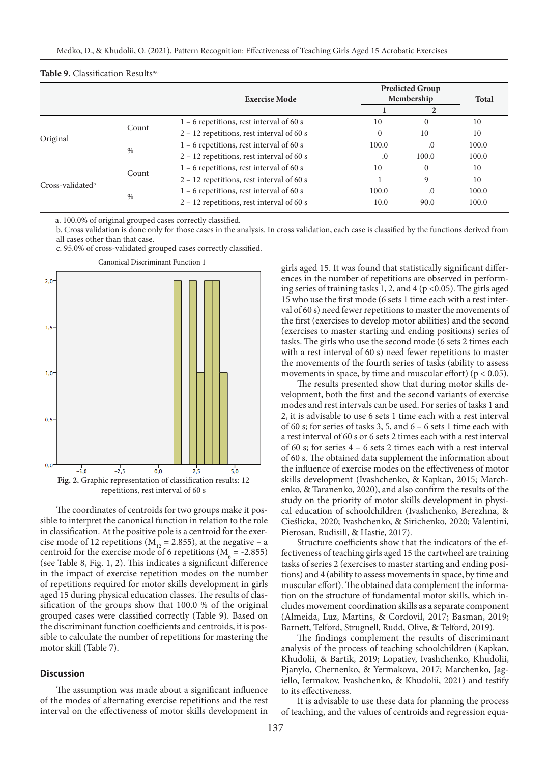|                    |       | <b>Exercise Mode</b>                        | <b>Predicted Group</b><br>Membership |          | <b>Total</b> |  |
|--------------------|-------|---------------------------------------------|--------------------------------------|----------|--------------|--|
|                    |       |                                             |                                      |          |              |  |
|                    | Count | $1 - 6$ repetitions, rest interval of 60 s  | 10                                   | $\Omega$ | 10           |  |
|                    |       | 2 - 12 repetitions, rest interval of 60 s   | $\mathbf{0}$                         | 10       | 10           |  |
| Original           | %     | $1 - 6$ repetitions, rest interval of 60 s  | 100.0                                | .0       | 100.0        |  |
|                    |       | $2 - 12$ repetitions, rest interval of 60 s | $\cdot$                              | 100.0    | 100.0        |  |
| $Cross-validatedb$ | Count | $1 - 6$ repetitions, rest interval of 60 s  | 10                                   | $\Omega$ | 10           |  |
|                    |       | $2 - 12$ repetitions, rest interval of 60 s |                                      | 9        | 10           |  |
|                    | $\%$  | $1 - 6$ repetitions, rest interval of 60 s  | 100.0                                | $_{0}$   | 100.0        |  |
|                    |       | 2 - 12 repetitions, rest interval of 60 s   | 10.0                                 | 90.0     | 100.0        |  |

a. 100.0% of original grouped cases correctly classified.

b. Cross validation is done only for those cases in the analysis. In cross validation, each case is classified by the functions derived from all cases other than that case.

c. 95.0% of cross-validated grouped cases correctly classified.



The coordinates of centroids for two groups make it possible to interpret the canonical function in relation to the role in classification. At the positive pole is a centroid for the exercise mode of 12 repetitions ( $M_{12} = 2.855$ ), at the negative – a centroid for the exercise mode of 6 repetitions ( $M<sub>6</sub> = -2.855$ ) (see Table 8, Fig. 1, 2). This indicates a significant difference in the impact of exercise repetition modes on the number of repetitions required for motor skills development in girls aged 15 during physical education classes. The results of classification of the groups show that 100.0 % of the original grouped cases were classified correctly (Table 9). Based on the discriminant function coefficients and centroids, it is possible to calculate the number of repetitions for mastering the motor skill (Table 7).

#### **Discussion**

The assumption was made about a significant influence of the modes of alternating exercise repetitions and the rest interval on the effectiveness of motor skills development in

girls aged 15. It was found that statistically significant differences in the number of repetitions are observed in performing series of training tasks 1, 2, and 4 (p <0.05). The girls aged 15 who use the first mode (6 sets 1 time each with a rest interval of 60 s) need fewer repetitions to master the movements of the first (exercises to develop motor abilities) and the second (exercises to master starting and ending positions) series of tasks. The girls who use the second mode (6 sets 2 times each with a rest interval of 60 s) need fewer repetitions to master the movements of the fourth series of tasks (ability to assess movements in space, by time and muscular effort) ( $p < 0.05$ ).

The results presented show that during motor skills development, both the first and the second variants of exercise modes and rest intervals can be used. For series of tasks 1 and 2, it is advisable to use 6 sets 1 time each with a rest interval of 60 s; for series of tasks 3, 5, and 6 – 6 sets 1 time each with a rest interval of 60 s or 6 sets 2 times each with a rest interval of 60 s; for series 4 – 6 sets 2 times each with a rest interval of 60 s. The obtained data supplement the information about the influence of exercise modes on the effectiveness of motor skills development (Ivashchenko, & Kapkan, 2015; Marchenko, & Taranenko, 2020), and also confirm the results of the study on the priority of motor skills development in physical education of schoolchildren (Ivashchenko, Berezhna, & Cieślicka, 2020; Ivashchenko, & Sirichenko, 2020; Valentini, Pierosan, Rudisill, & Hastie, 2017).

Structure coefficients show that the indicators of the effectiveness of teaching girls aged 15 the cartwheel are training tasks of series 2 (exercises to master starting and ending positions) and 4 (ability to assess movements in space, by time and muscular effort). The obtained data complement the information on the structure of fundamental motor skills, which includes movement coordination skills as a separate component (Almeida, Luz, Martins, & Cordovil, 2017; Basman, 2019; Barnett, Telford, Strugnell, Rudd, Olive, & Telford, 2019).

The findings complement the results of discriminant analysis of the process of teaching schoolchildren (Kapkan, Khudolii, & Bartik, 2019; Lopatiev, Ivashchenko, Khudolii, Pjanylo, Chernenko, & Yermakova, 2017; Marchenko, Jagiello, Iermakov, Ivashchenko, & Khudolii, 2021) and testify to its effectiveness.

It is advisable to use these data for planning the process of teaching, and the values of centroids and regression equa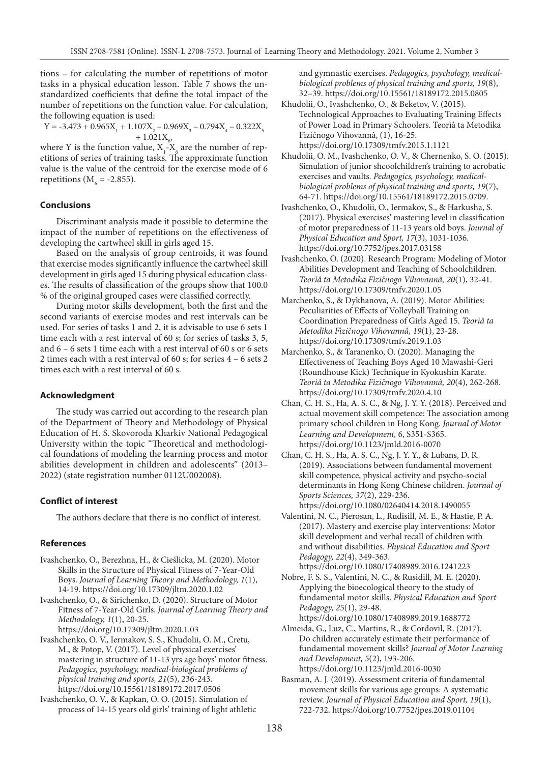tions – for calculating the number of repetitions of motor tasks in a physical education lesson. Table 7 shows the unstandardized coefficients that define the total impact of the number of repetitions on the function value. For calculation, the following equation is used:

$$
Y = -3.473 + 0.965X_1 + 1.107X_2 - 0.969X_3 - 0.794X_4 - 0.322X_5 + 1.021X_6
$$

where Y is the function value,  $X_1 - X_6$  are the number of repetitions of series of training tasks. The approximate function value is the value of the centroid for the exercise mode of 6 repetitions ( $M<sub>6</sub>$  = -2.855).

#### **Conclusions**

Discriminant analysis made it possible to determine the impact of the number of repetitions on the effectiveness of developing the cartwheel skill in girls aged 15.

Based on the analysis of group centroids, it was found that exercise modes significantly influence the cartwheel skill development in girls aged 15 during physical education classes. The results of classification of the groups show that 100.0 % of the original grouped cases were classified correctly.

During motor skills development, both the first and the second variants of exercise modes and rest intervals can be used. For series of tasks 1 and 2, it is advisable to use 6 sets 1 time each with a rest interval of 60 s; for series of tasks 3, 5, and 6 – 6 sets 1 time each with a rest interval of 60 s or 6 sets 2 times each with a rest interval of 60 s; for series 4 – 6 sets 2 times each with a rest interval of 60 s.

#### **Acknowledgment**

The study was carried out according to the research plan of the Department of Theory and Methodology of Physical Education of H. S. Skovoroda Kharkiv National Pedagogical University within the topic "Theoretical and methodological foundations of modeling the learning process and motor abilities development in children and adolescents" (2013– 2022) (state registration number 0112U002008).

#### **Conflict of interest**

The authors declare that there is no conflict of interest.

#### **References**

- Ivashchenko, O., Berezhna, H., & Cieślicka, M. (2020). Motor Skills in the Structure of Physical Fitness of 7-Year-Old Boys. *Journal of Learning Theory and Methodology, 1*(1), 14-19. https://doi.org/10.17309/jltm.2020.1.02
- Ivashchenko, O., & Sirichenko, D. (2020). Structure of Motor Fitness of 7-Year-Old Girls. *Journal of Learning Theory and Methodology, 1*(1), 20-25. https://doi.org/10.17309/jltm.2020.1.03

Ivashchenko, O. V., Iermakov, S. S., Khudolii, O. M., Cretu, M., & Potop, V. (2017). Level of physical exercises' mastering in structure of 11-13 yrs age boys' motor fitness. *Pedagogics, psychology, medical-biological problems of physical training and sports, 21*(5), 236-243. https://doi.org/10.15561/18189172.2017.0506

Ivashchenko, O. V., & Kapkan, O. O. (2015). Simulation of process of 14-15 years old girls' training of light athletic and gymnastic exercises. *Pedagogics, psychology, medicalbiological problems of physical training and sports, 19*(8), 32–39. https://doi.org/10.15561/18189172.2015.0805

- Khudolii, O., Ivashchenko, O., & Beketov, V. (2015). Technological Approaches to Evaluating Training Effects of Power Load in Primary Schoolers. Teorìâ ta Metodika Fìzičnogo Vihovannâ, (1), 16-25. https://doi.org/10.17309/tmfv.2015.1.1121
- Khudolii, O. M., Ivashchenko, O. V., & Chernenko, S. O. (2015). Simulation of junior shcoolchildren's training to acrobatic exercises and vaults. *Pedagogics, psychology, medicalbiological problems of physical training and sports, 19*(7), 64-71. https://doi.org/10.15561/18189172.2015.0709.
- Ivashchenko, O., Khudolii, O., Iermakov, S., & Harkusha, S. (2017). Physical exercises' mastering level in classification of motor preparedness of 11-13 years old boys. *Journal of Physical Education and Sport, 17*(3), 1031-1036. https://doi.org/10.7752/jpes.2017.03158
- Ivashchenko, O. (2020). Research Program: Modeling of Motor Abilities Development and Teaching of Schoolchildren. *Teorìâ ta Metodika Fìzičnogo Vihovannâ, 20*(1), 32-41. https://doi.org/10.17309/tmfv.2020.1.05
- Marchenko, S., & Dykhanova, A. (2019). Motor Abilities: Peculiarities of Effects of Volleyball Training on Coordination Preparedness of Girls Aged 15. *Teorìâ ta Metodika Fìzičnogo Vihovannâ, 19*(1), 23-28. https://doi.org/10.17309/tmfv.2019.1.03
- Marchenko, S., & Taranenko, O. (2020). Managing the Effectiveness of Teaching Boys Aged 10 Mawashi-Geri (Roundhouse Kick) Technique in Kyokushin Karate. *Teorìâ ta Metodika Fìzičnogo Vihovannâ, 20*(4), 262-268. https://doi.org/10.17309/tmfv.2020.4.10
- Chan, C. H. S., Ha, A. S. C., & Ng, J. Y. Y. (2018). Perceived and actual movement skill competence: The association among primary school children in Hong Kong. *Journal of Motor Learning and Development,* 6, S351-S365. https://doi.org/10.1123/jmld.2016-0070
- Chan, C. H. S., Ha, A. S. C., Ng, J. Y. Y., & Lubans, D. R. (2019). Associations between fundamental movement skill competence, physical activity and psycho-social determinants in Hong Kong Chinese children. *Journal of Sports Sciences, 37*(2), 229-236. https://doi.org/10.1080/02640414.2018.1490055
- Valentini, N. C., Pierosan, L., Rudisill, M. E., & Hastie, P. A. (2017). Mastery and exercise play interventions: Motor skill development and verbal recall of children with and without disabilities. *Physical Education and Sport Pedagogy, 22*(4), 349-363. https://doi.org/10.1080/17408989.2016.1241223
- Nobre, F. S. S., Valentini, N. C., & Rusidill, M. E. (2020). Applying the bioecological theory to the study of fundamental motor skills. *Physical Education and Sport Pedagogy, 25*(1), 29-48.
- https://doi.org/10.1080/17408989.2019.1688772 Almeida, G., Luz, C., Martins, R., & Cordovil, R. (2017). Do children accurately estimate their performance of fundamental movement skills? *Journal of Motor Learning and Development, 5*(2), 193-206. https://doi.org/10.1123/jmld.2016-0030
- Basman, A. J. (2019). Assessment criteria of fundamental movement skills for various age groups: A systematic review. *Journal of Physical Education and Sport, 19*(1), 722-732. https://doi.org/10.7752/jpes.2019.01104